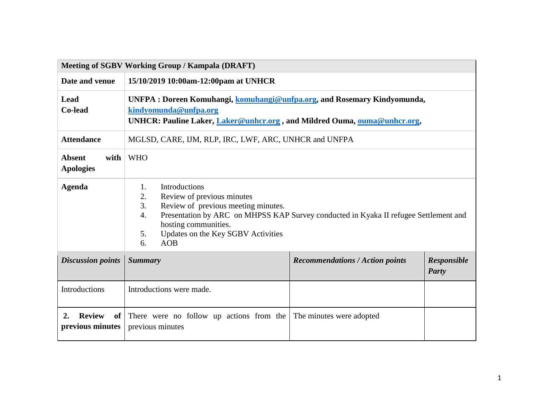| <b>Meeting of SGBV Working Group / Kampala (DRAFT)</b>     |                                                                                                                                                                                                                                                                                                          |                                        |                      |
|------------------------------------------------------------|----------------------------------------------------------------------------------------------------------------------------------------------------------------------------------------------------------------------------------------------------------------------------------------------------------|----------------------------------------|----------------------|
| Date and venue                                             | 15/10/2019 10:00am-12:00pam at UNHCR                                                                                                                                                                                                                                                                     |                                        |                      |
| Lead<br><b>Co-lead</b>                                     | UNFPA: Doreen Komuhangi, komuhangi@unfpa.org, and Rosemary Kindyomunda,<br>kindyomunda@unfpa.org<br>UNHCR: Pauline Laker, Laker@unhcr.org, and Mildred Ouma, ouma@unhcr.org,                                                                                                                             |                                        |                      |
| <b>Attendance</b>                                          | MGLSD, CARE, IJM, RLP, IRC, LWF, ARC, UNHCR and UNFPA                                                                                                                                                                                                                                                    |                                        |                      |
| <b>Absent</b><br>with<br><b>Apologies</b>                  | <b>WHO</b>                                                                                                                                                                                                                                                                                               |                                        |                      |
| <b>Agenda</b>                                              | <b>Introductions</b><br>1.<br>Review of previous minutes<br>2.<br>3.<br>Review of previous meeting minutes.<br>Presentation by ARC on MHPSS KAP Survey conducted in Kyaka II refugee Settlement and<br>$\overline{4}$ .<br>hosting communities.<br>Updates on the Key SGBV Activities<br>5.<br>AOB<br>6. |                                        |                      |
| <b>Discussion points</b>                                   | <b>Summary</b>                                                                                                                                                                                                                                                                                           | <b>Recommendations / Action points</b> | Responsible<br>Party |
| Introductions                                              | Introductions were made.                                                                                                                                                                                                                                                                                 |                                        |                      |
| <b>Review</b><br>2.<br>of <sub>1</sub><br>previous minutes | There were no follow up actions from the The minutes were adopted<br>previous minutes                                                                                                                                                                                                                    |                                        |                      |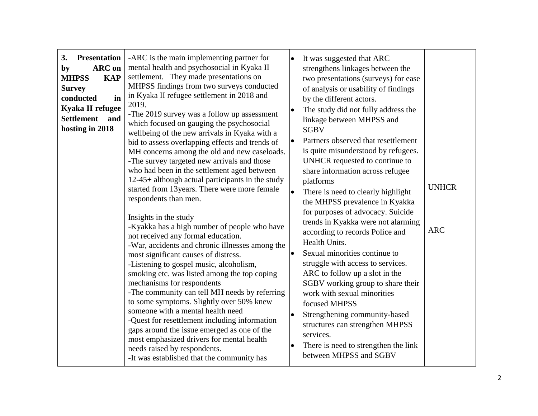| 3.<br><b>Presentation</b><br><b>ARC</b> on<br>by<br><b>MHPSS</b><br><b>KAP</b><br><b>Survey</b><br>conducted<br>in<br>Kyaka II refugee<br><b>Settlement</b><br>and<br>hosting in 2018 | -ARC is the main implementing partner for<br>mental health and psychosocial in Kyaka II<br>settlement. They made presentations on<br>MHPSS findings from two surveys conducted<br>in Kyaka II refugee settlement in 2018 and<br>2019.<br>-The 2019 survey was a follow up assessment<br>which focused on gauging the psychosocial<br>wellbeing of the new arrivals in Kyaka with a<br>bid to assess overlapping effects and trends of<br>MH concerns among the old and new caseloads.<br>-The survey targeted new arrivals and those<br>who had been in the settlement aged between<br>12-45+ although actual participants in the study<br>started from 13 years. There were more female<br>respondents than men.<br>Insights in the study<br>-Kyakka has a high number of people who have<br>not received any formal education.<br>-War, accidents and chronic illnesses among the<br>most significant causes of distress.<br>-Listening to gospel music, alcoholism,<br>smoking etc. was listed among the top coping<br>mechanisms for respondents<br>-The community can tell MH needs by referring<br>to some symptoms. Slightly over 50% knew<br>someone with a mental health need<br>-Quest for resettlement including information<br>gaps around the issue emerged as one of the<br>most emphasized drivers for mental health<br>needs raised by respondents.<br>-It was established that the community has | It was suggested that ARC<br>strengthens linkages between the<br>two presentations (surveys) for ease<br>of analysis or usability of findings<br>by the different actors.<br>The study did not fully address the<br>linkage between MHPSS and<br><b>SGBV</b><br>Partners observed that resettlement<br>lo<br>is quite misunderstood by refugees.<br>UNHCR requested to continue to<br>share information across refugee<br>platforms<br>There is need to clearly highlight<br>lo<br>the MHPSS prevalence in Kyakka<br>for purposes of advocacy. Suicide<br>trends in Kyakka were not alarming<br>according to records Police and<br>Health Units.<br>Sexual minorities continue to<br>struggle with access to services.<br>ARC to follow up a slot in the<br>SGBV working group to share their<br>work with sexual minorities<br>focused MHPSS<br>Strengthening community-based<br>$\bullet$<br>structures can strengthen MHPSS<br>services.<br>There is need to strengthen the link<br>between MHPSS and SGBV | <b>UNHCR</b><br><b>ARC</b> |
|---------------------------------------------------------------------------------------------------------------------------------------------------------------------------------------|-------------------------------------------------------------------------------------------------------------------------------------------------------------------------------------------------------------------------------------------------------------------------------------------------------------------------------------------------------------------------------------------------------------------------------------------------------------------------------------------------------------------------------------------------------------------------------------------------------------------------------------------------------------------------------------------------------------------------------------------------------------------------------------------------------------------------------------------------------------------------------------------------------------------------------------------------------------------------------------------------------------------------------------------------------------------------------------------------------------------------------------------------------------------------------------------------------------------------------------------------------------------------------------------------------------------------------------------------------------------------------------------------------------------|---------------------------------------------------------------------------------------------------------------------------------------------------------------------------------------------------------------------------------------------------------------------------------------------------------------------------------------------------------------------------------------------------------------------------------------------------------------------------------------------------------------------------------------------------------------------------------------------------------------------------------------------------------------------------------------------------------------------------------------------------------------------------------------------------------------------------------------------------------------------------------------------------------------------------------------------------------------------------------------------------------------|----------------------------|
|---------------------------------------------------------------------------------------------------------------------------------------------------------------------------------------|-------------------------------------------------------------------------------------------------------------------------------------------------------------------------------------------------------------------------------------------------------------------------------------------------------------------------------------------------------------------------------------------------------------------------------------------------------------------------------------------------------------------------------------------------------------------------------------------------------------------------------------------------------------------------------------------------------------------------------------------------------------------------------------------------------------------------------------------------------------------------------------------------------------------------------------------------------------------------------------------------------------------------------------------------------------------------------------------------------------------------------------------------------------------------------------------------------------------------------------------------------------------------------------------------------------------------------------------------------------------------------------------------------------------|---------------------------------------------------------------------------------------------------------------------------------------------------------------------------------------------------------------------------------------------------------------------------------------------------------------------------------------------------------------------------------------------------------------------------------------------------------------------------------------------------------------------------------------------------------------------------------------------------------------------------------------------------------------------------------------------------------------------------------------------------------------------------------------------------------------------------------------------------------------------------------------------------------------------------------------------------------------------------------------------------------------|----------------------------|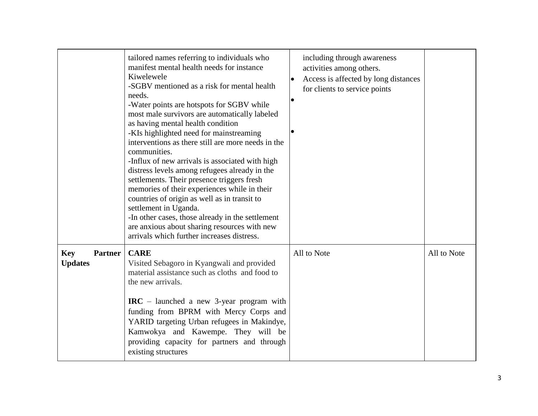|                                                | tailored names referring to individuals who<br>manifest mental health needs for instance<br>Kiwelewele<br>-SGBV mentioned as a risk for mental health<br>needs.<br>-Water points are hotspots for SGBV while<br>most male survivors are automatically labeled<br>as having mental health condition<br>-KIs highlighted need for mainstreaming<br>interventions as there still are more needs in the<br>communities.<br>-Influx of new arrivals is associated with high<br>distress levels among refugees already in the<br>settlements. Their presence triggers fresh<br>memories of their experiences while in their<br>countries of origin as well as in transit to<br>settlement in Uganda.<br>-In other cases, those already in the settlement<br>are anxious about sharing resources with new<br>arrivals which further increases distress. | including through awareness<br>activities among others.<br>Access is affected by long distances<br>for clients to service points<br>$\bullet$ |             |
|------------------------------------------------|--------------------------------------------------------------------------------------------------------------------------------------------------------------------------------------------------------------------------------------------------------------------------------------------------------------------------------------------------------------------------------------------------------------------------------------------------------------------------------------------------------------------------------------------------------------------------------------------------------------------------------------------------------------------------------------------------------------------------------------------------------------------------------------------------------------------------------------------------|-----------------------------------------------------------------------------------------------------------------------------------------------|-------------|
| <b>Key</b><br><b>Partner</b><br><b>Updates</b> | <b>CARE</b><br>Visited Sebagoro in Kyangwali and provided<br>material assistance such as cloths and food to<br>the new arrivals.<br>$IRC$ – launched a new 3-year program with<br>funding from BPRM with Mercy Corps and<br>YARID targeting Urban refugees in Makindye,<br>Kamwokya and Kawempe. They will be<br>providing capacity for partners and through<br>existing structures                                                                                                                                                                                                                                                                                                                                                                                                                                                              | All to Note                                                                                                                                   | All to Note |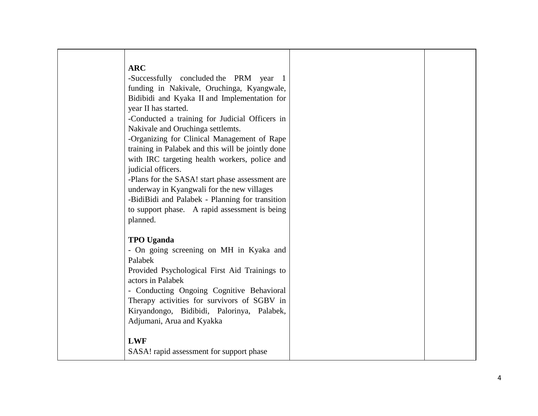| <b>ARC</b>                                        |  |
|---------------------------------------------------|--|
| -Successfully concluded the PRM year              |  |
| funding in Nakivale, Oruchinga, Kyangwale,        |  |
| Bidibidi and Kyaka II and Implementation for      |  |
| year II has started.                              |  |
| -Conducted a training for Judicial Officers in    |  |
| Nakivale and Oruchinga settlemts.                 |  |
| -Organizing for Clinical Management of Rape       |  |
| training in Palabek and this will be jointly done |  |
| with IRC targeting health workers, police and     |  |
| judicial officers.                                |  |
| -Plans for the SASA! start phase assessment are   |  |
| underway in Kyangwali for the new villages        |  |
| -BidiBidi and Palabek - Planning for transition   |  |
| to support phase. A rapid assessment is being     |  |
| planned.                                          |  |
| <b>TPO Uganda</b>                                 |  |
| - On going screening on MH in Kyaka and           |  |
| Palabek                                           |  |
| Provided Psychological First Aid Trainings to     |  |
| actors in Palabek                                 |  |
| - Conducting Ongoing Cognitive Behavioral         |  |
| Therapy activities for survivors of SGBV in       |  |
| Kiryandongo, Bidibidi, Palorinya, Palabek,        |  |
| Adjumani, Arua and Kyakka                         |  |
| <b>LWF</b>                                        |  |
| SASA! rapid assessment for support phase          |  |

┬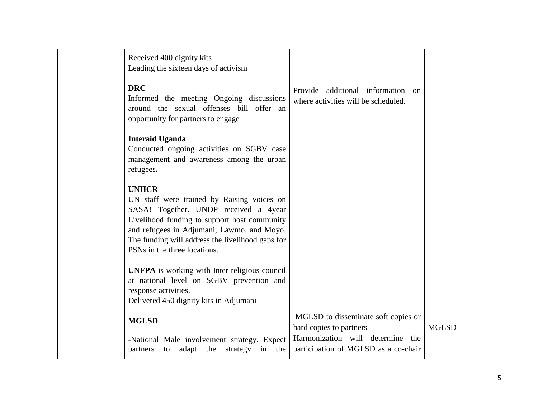| Received 400 dignity kits<br>Leading the sixteen days of activism                                                                                                                                                                                                                     |                                                                                                                                            |              |
|---------------------------------------------------------------------------------------------------------------------------------------------------------------------------------------------------------------------------------------------------------------------------------------|--------------------------------------------------------------------------------------------------------------------------------------------|--------------|
| <b>DRC</b><br>Informed the meeting Ongoing discussions<br>around the sexual offenses bill offer an<br>opportunity for partners to engage                                                                                                                                              | Provide additional information<br>on<br>where activities will be scheduled.                                                                |              |
| <b>Interaid Uganda</b><br>Conducted ongoing activities on SGBV case<br>management and awareness among the urban<br>refugees.                                                                                                                                                          |                                                                                                                                            |              |
| <b>UNHCR</b><br>UN staff were trained by Raising voices on<br>SASA! Together. UNDP received a 4year<br>Livelihood funding to support host community<br>and refugees in Adjumani, Lawmo, and Moyo.<br>The funding will address the livelihood gaps for<br>PSNs in the three locations. |                                                                                                                                            |              |
| <b>UNFPA</b> is working with Inter religious council<br>at national level on SGBV prevention and<br>response activities.<br>Delivered 450 dignity kits in Adjumani                                                                                                                    |                                                                                                                                            |              |
| <b>MGLSD</b><br>-National Male involvement strategy. Expect<br>adapt the<br>strategy<br>in<br>the<br>partners<br>to                                                                                                                                                                   | MGLSD to disseminate soft copies or<br>hard copies to partners<br>Harmonization will determine the<br>participation of MGLSD as a co-chair | <b>MGLSD</b> |